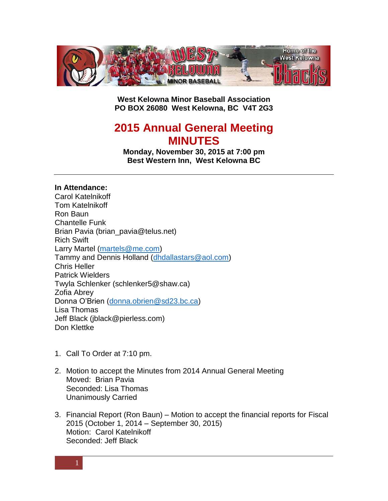

**West Kelowna Minor Baseball Association PO BOX 26080 West Kelowna, BC V4T 2G3**

# **2015 Annual General Meeting MINUTES**

**Monday, November 30, 2015 at 7:00 pm Best Western Inn, West Kelowna BC**

## **In Attendance:**

Carol Katelnikoff Tom Katelnikoff Ron Baun Chantelle Funk Brian Pavia (brian pavia@telus.net) Rich Swift Larry Martel [\(martels@me.com\)](mailto:martels@me.com) Tammy and Dennis Holland [\(dhdallastars@aol.com\)](mailto:dhdallastars@aol.com) Chris Heller Patrick Wielders Twyla Schlenker (schlenker5@shaw.ca) Zofia Abrey Donna O'Brien [\(donna.obrien@sd23.bc.ca\)](mailto:donna.obrien@sd23.bc.ca) Lisa Thomas Jeff Black (jblack@pierless.com) Don Klettke

- 1. Call To Order at 7:10 pm.
- 2. Motion to accept the Minutes from 2014 Annual General Meeting Moved: Brian Pavia Seconded: Lisa Thomas Unanimously Carried
- 3. Financial Report (Ron Baun) Motion to accept the financial reports for Fiscal 2015 (October 1, 2014 – September 30, 2015) Motion: Carol Katelnikoff Seconded: Jeff Black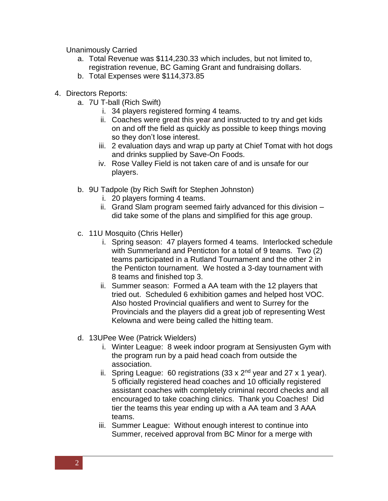Unanimously Carried

- a. Total Revenue was \$114,230.33 which includes, but not limited to, registration revenue, BC Gaming Grant and fundraising dollars.
- b. Total Expenses were \$114,373.85
- 4. Directors Reports:
	- a. 7U T-ball (Rich Swift)
		- i. 34 players registered forming 4 teams.
		- ii. Coaches were great this year and instructed to try and get kids on and off the field as quickly as possible to keep things moving so they don't lose interest.
		- iii. 2 evaluation days and wrap up party at Chief Tomat with hot dogs and drinks supplied by Save-On Foods.
		- iv. Rose Valley Field is not taken care of and is unsafe for our players.
	- b. 9U Tadpole (by Rich Swift for Stephen Johnston)
		- i. 20 players forming 4 teams.
		- ii. Grand Slam program seemed fairly advanced for this division did take some of the plans and simplified for this age group.
	- c. 11U Mosquito (Chris Heller)
		- i. Spring season: 47 players formed 4 teams. Interlocked schedule with Summerland and Penticton for a total of 9 teams. Two (2) teams participated in a Rutland Tournament and the other 2 in the Penticton tournament. We hosted a 3-day tournament with 8 teams and finished top 3.
		- ii. Summer season: Formed a AA team with the 12 players that tried out. Scheduled 6 exhibition games and helped host VOC. Also hosted Provincial qualifiers and went to Surrey for the Provincials and the players did a great job of representing West Kelowna and were being called the hitting team.
	- d. 13UPee Wee (Patrick Wielders)
		- i. Winter League: 8 week indoor program at Sensiyusten Gym with the program run by a paid head coach from outside the association.
		- ii. Spring League: 60 registrations  $(33 \times 2^{nd})$  year and 27 x 1 year). 5 officially registered head coaches and 10 officially registered assistant coaches with completely criminal record checks and all encouraged to take coaching clinics. Thank you Coaches! Did tier the teams this year ending up with a AA team and 3 AAA teams.
		- iii. Summer League: Without enough interest to continue into Summer, received approval from BC Minor for a merge with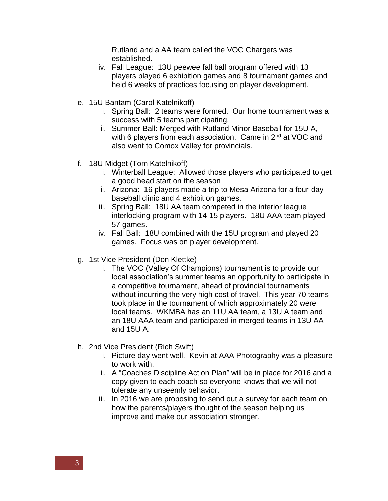Rutland and a AA team called the VOC Chargers was established.

- iv. Fall League: 13U peewee fall ball program offered with 13 players played 6 exhibition games and 8 tournament games and held 6 weeks of practices focusing on player development.
- e. 15U Bantam (Carol Katelnikoff)
	- i. Spring Ball: 2 teams were formed. Our home tournament was a success with 5 teams participating.
	- ii. Summer Ball: Merged with Rutland Minor Baseball for 15U A, with 6 players from each association. Came in 2<sup>nd</sup> at VOC and also went to Comox Valley for provincials.
- f. 18U Midget (Tom Katelnikoff)
	- i. Winterball League: Allowed those players who participated to get a good head start on the season
	- ii. Arizona: 16 players made a trip to Mesa Arizona for a four-day baseball clinic and 4 exhibition games.
	- iii. Spring Ball: 18U AA team competed in the interior league interlocking program with 14-15 players. 18U AAA team played 57 games.
	- iv. Fall Ball: 18U combined with the 15U program and played 20 games. Focus was on player development.
- g. 1st Vice President (Don Klettke)
	- i. The VOC (Valley Of Champions) tournament is to provide our local association's summer teams an opportunity to participate in a competitive tournament, ahead of provincial tournaments without incurring the very high cost of travel. This year 70 teams took place in the tournament of which approximately 20 were local teams. WKMBA has an 11U AA team, a 13U A team and an 18U AAA team and participated in merged teams in 13U AA and 15U A.
- h. 2nd Vice President (Rich Swift)
	- i. Picture day went well. Kevin at AAA Photography was a pleasure to work with.
	- ii. A "Coaches Discipline Action Plan" will be in place for 2016 and a copy given to each coach so everyone knows that we will not tolerate any unseemly behavior.
	- iii. In 2016 we are proposing to send out a survey for each team on how the parents/players thought of the season helping us improve and make our association stronger.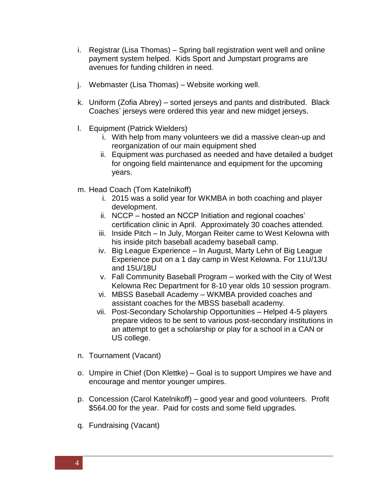- i. Registrar (Lisa Thomas) Spring ball registration went well and online payment system helped. Kids Sport and Jumpstart programs are avenues for funding children in need.
- j. Webmaster (Lisa Thomas) Website working well.
- k. Uniform (Zofia Abrey) sorted jerseys and pants and distributed. Black Coaches' jerseys were ordered this year and new midget jerseys.
- l. Equipment (Patrick Wielders)
	- i. With help from many volunteers we did a massive clean-up and reorganization of our main equipment shed
	- ii. Equipment was purchased as needed and have detailed a budget for ongoing field maintenance and equipment for the upcoming years.
- m. Head Coach (Tom Katelnikoff)
	- i. 2015 was a solid year for WKMBA in both coaching and player development.
	- ii. NCCP hosted an NCCP Initiation and regional coaches' certification clinic in April. Approximately 30 coaches attended.
	- iii. Inside Pitch In July, Morgan Reiter came to West Kelowna with his inside pitch baseball academy baseball camp.
	- iv. Big League Experience In August, Marty Lehn of Big League Experience put on a 1 day camp in West Kelowna. For 11U/13U and 15U/18U
	- v. Fall Community Baseball Program worked with the City of West Kelowna Rec Department for 8-10 year olds 10 session program.
	- vi. MBSS Baseball Academy WKMBA provided coaches and assistant coaches for the MBSS baseball academy.
	- vii. Post-Secondary Scholarship Opportunities Helped 4-5 players prepare videos to be sent to various post-secondary institutions in an attempt to get a scholarship or play for a school in a CAN or US college.
- n. Tournament (Vacant)
- o. Umpire in Chief (Don Klettke) Goal is to support Umpires we have and encourage and mentor younger umpires.
- p. Concession (Carol Katelnikoff) good year and good volunteers. Profit \$564.00 for the year. Paid for costs and some field upgrades.
- q. Fundraising (Vacant)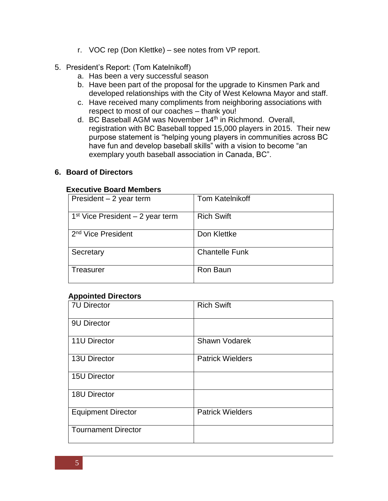- r. VOC rep (Don Klettke) see notes from VP report.
- 5. President's Report: (Tom Katelnikoff)
	- a. Has been a very successful season
	- b. Have been part of the proposal for the upgrade to Kinsmen Park and developed relationships with the City of West Kelowna Mayor and staff.
	- c. Have received many compliments from neighboring associations with respect to most of our coaches – thank you!
	- d. BC Baseball AGM was November 14<sup>th</sup> in Richmond. Overall, registration with BC Baseball topped 15,000 players in 2015. Their new purpose statement is "helping young players in communities across BC have fun and develop baseball skills" with a vision to become "an exemplary youth baseball association in Canada, BC".

## **6. Board of Directors**

#### **Executive Board Members**

| President $-2$ year term           | <b>Tom Katelnikoff</b> |
|------------------------------------|------------------------|
| $1st$ Vice President – 2 year term | <b>Rich Swift</b>      |
| 2 <sup>nd</sup> Vice President     | Don Klettke            |
| Secretary                          | <b>Chantelle Funk</b>  |
| Treasurer                          | Ron Baun               |

#### **Appointed Directors**

| <b>7U Director</b>         | <b>Rich Swift</b>       |
|----------------------------|-------------------------|
| 9U Director                |                         |
| 11U Director               | <b>Shawn Vodarek</b>    |
| <b>13U Director</b>        | <b>Patrick Wielders</b> |
| <b>15U Director</b>        |                         |
| 18U Director               |                         |
| <b>Equipment Director</b>  | <b>Patrick Wielders</b> |
| <b>Tournament Director</b> |                         |